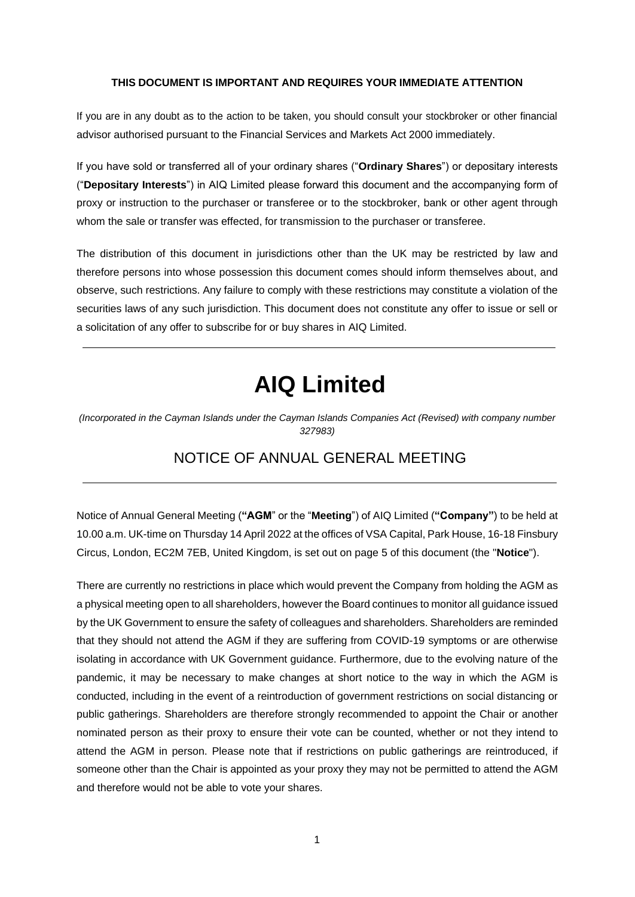#### **THIS DOCUMENT IS IMPORTANT AND REQUIRES YOUR IMMEDIATE ATTENTION**

If you are in any doubt as to the action to be taken, you should consult your stockbroker or other financial advisor authorised pursuant to the Financial Services and Markets Act 2000 immediately.

If you have sold or transferred all of your ordinary shares ("**Ordinary Shares**") or depositary interests ("**Depositary Interests**") in AIQ Limited please forward this document and the accompanying form of proxy or instruction to the purchaser or transferee or to the stockbroker, bank or other agent through whom the sale or transfer was effected, for transmission to the purchaser or transferee.

The distribution of this document in jurisdictions other than the UK may be restricted by law and therefore persons into whose possession this document comes should inform themselves about, and observe, such restrictions. Any failure to comply with these restrictions may constitute a violation of the securities laws of any such jurisdiction. This document does not constitute any offer to issue or sell or a solicitation of any offer to subscribe for or buy shares in AIQ Limited.

# **AIQ Limited**

*(Incorporated in the Cayman Islands under the Cayman Islands Companies Act (Revised) with company number 327983)*

### NOTICE OF ANNUAL GENERAL MEETING

Notice of Annual General Meeting (**"AGM**" or the "**Meeting**") of AIQ Limited (**"Company"**) to be held at 10.00 a.m. UK-time on Thursday 14 April 2022 at the offices of VSA Capital, Park House, 16-18 Finsbury Circus, London, EC2M 7EB, United Kingdom, is set out on page 5 of this document (the "**Notice**").

There are currently no restrictions in place which would prevent the Company from holding the AGM as a physical meeting open to all shareholders, however the Board continues to monitor all guidance issued by the UK Government to ensure the safety of colleagues and shareholders. Shareholders are reminded that they should not attend the AGM if they are suffering from COVID-19 symptoms or are otherwise isolating in accordance with UK Government guidance. Furthermore, due to the evolving nature of the pandemic, it may be necessary to make changes at short notice to the way in which the AGM is conducted, including in the event of a reintroduction of government restrictions on social distancing or public gatherings. Shareholders are therefore strongly recommended to appoint the Chair or another nominated person as their proxy to ensure their vote can be counted, whether or not they intend to attend the AGM in person. Please note that if restrictions on public gatherings are reintroduced, if someone other than the Chair is appointed as your proxy they may not be permitted to attend the AGM and therefore would not be able to vote your shares.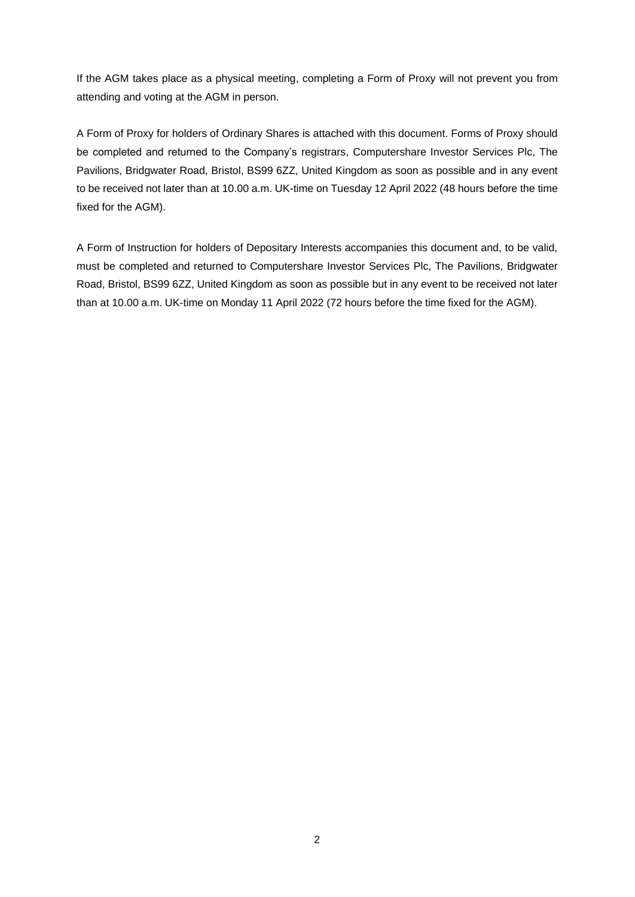If the AGM takes place as a physical meeting, completing a Form of Proxy will not prevent you from attending and voting at the AGM in person.

A Form of Proxy for holders of Ordinary Shares is attached with this document. Forms of Proxy should be completed and returned to the Company's registrars, Computershare Investor Services Plc, The Pavilions, Bridgwater Road, Bristol, BS99 6ZZ, United Kingdom as soon as possible and in any event to be received not later than at 10.00 a.m. UK-time on Tuesday 12 April 2022 (48 hours before the time fixed for the AGM).

A Form of Instruction for holders of Depositary Interests accompanies this document and, to be valid, must be completed and returned to Computershare Investor Services Plc, The Pavilions, Bridgwater Road, Bristol, BS99 6ZZ, United Kingdom as soon as possible but in any event to be received not later than at 10.00 a.m. UK-time on Monday 11 April 2022 (72 hours before the time fixed for the AGM).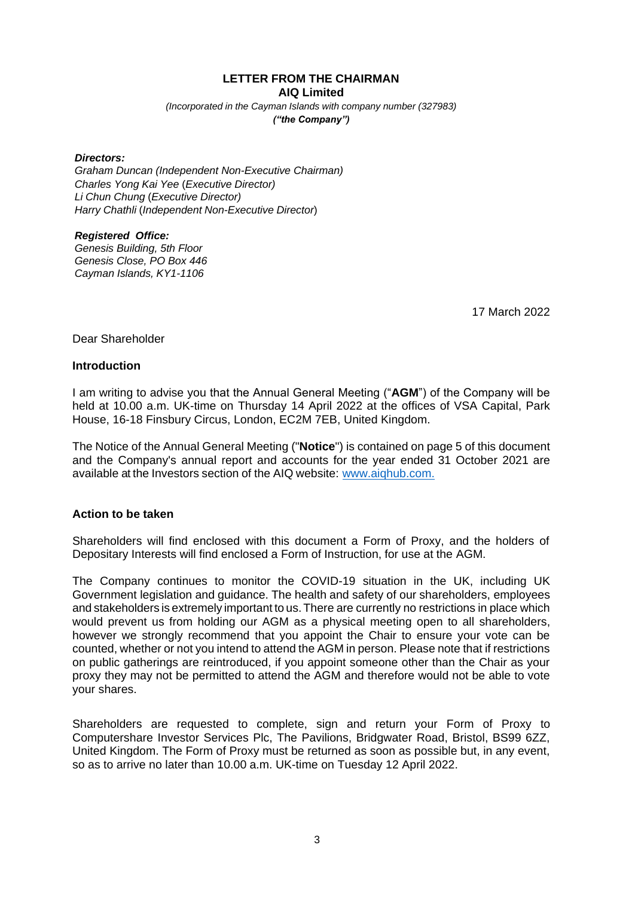**LETTER FROM THE CHAIRMAN AIQ Limited**

*(Incorporated in the Cayman Islands with company number (327983) ("the Company")*

#### *Directors:*

*Graham Duncan (Independent Non-Executive Chairman) Charles Yong Kai Yee* (*Executive Director) Li Chun Chung* (*Executive Director) Harry Chathli* (*Independent Non-Executive Director*)

#### *Registered Office:*

*Genesis Building, 5th Floor Genesis Close, PO Box 446 Cayman Islands, KY1-1106*

17 March 2022

#### Dear Shareholder

#### **Introduction**

I am writing to advise you that the Annual General Meeting ("**AGM**") of the Company will be held at 10.00 a.m. UK-time on Thursday 14 April 2022 at the offices of VSA Capital, Park House, 16-18 Finsbury Circus, London, EC2M 7EB, United Kingdom.

The Notice of the Annual General Meeting ("**Notice**") is contained on page 5 of this document and the Company's annual report and accounts for the year ended 31 October 2021 are available at the Investors section of the AIQ website: [www.aiqhub.com.](http://www.aiqhub.com/)

#### **Action to be taken**

Shareholders will find enclosed with this document a Form of Proxy, and the holders of Depositary Interests will find enclosed a Form of Instruction, for use at the AGM.

The Company continues to monitor the COVID-19 situation in the UK, including UK Government legislation and guidance. The health and safety of our shareholders, employees and stakeholders is extremely important to us.There are currently no restrictions in place which would prevent us from holding our AGM as a physical meeting open to all shareholders, however we strongly recommend that you appoint the Chair to ensure your vote can be counted, whether or not you intend to attend the AGM in person. Please note that if restrictions on public gatherings are reintroduced, if you appoint someone other than the Chair as your proxy they may not be permitted to attend the AGM and therefore would not be able to vote your shares.

Shareholders are requested to complete, sign and return your Form of Proxy to Computershare Investor Services Plc, The Pavilions, Bridgwater Road, Bristol, BS99 6ZZ, United Kingdom. The Form of Proxy must be returned as soon as possible but, in any event, so as to arrive no later than 10.00 a.m. UK-time on Tuesday 12 April 2022.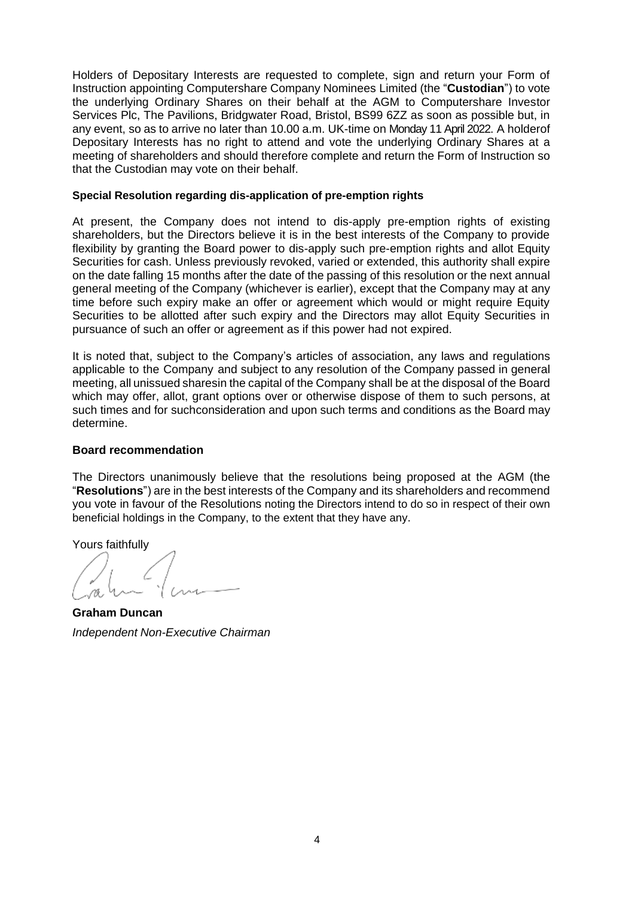Holders of Depositary Interests are requested to complete, sign and return your Form of Instruction appointing Computershare Company Nominees Limited (the "**Custodian**") to vote the underlying Ordinary Shares on their behalf at the AGM to Computershare Investor Services Plc, The Pavilions, Bridgwater Road, Bristol, BS99 6ZZ as soon as possible but, in any event, so as to arrive no later than 10.00 a.m. UK-time on Monday 11 April 2022. A holderof Depositary Interests has no right to attend and vote the underlying Ordinary Shares at a meeting of shareholders and should therefore complete and return the Form of Instruction so that the Custodian may vote on their behalf.

#### **Special Resolution regarding dis-application of pre-emption rights**

At present, the Company does not intend to dis-apply pre-emption rights of existing shareholders, but the Directors believe it is in the best interests of the Company to provide flexibility by granting the Board power to dis-apply such pre-emption rights and allot Equity Securities for cash. Unless previously revoked, varied or extended, this authority shall expire on the date falling 15 months after the date of the passing of this resolution or the next annual general meeting of the Company (whichever is earlier), except that the Company may at any time before such expiry make an offer or agreement which would or might require Equity Securities to be allotted after such expiry and the Directors may allot Equity Securities in pursuance of such an offer or agreement as if this power had not expired.

It is noted that, subject to the Company's articles of association, any laws and regulations applicable to the Company and subject to any resolution of the Company passed in general meeting, all unissued sharesin the capital of the Company shall be at the disposal of the Board which may offer, allot, grant options over or otherwise dispose of them to such persons, at such times and for suchconsideration and upon such terms and conditions as the Board may determine.

#### **Board recommendation**

The Directors unanimously believe that the resolutions being proposed at the AGM (the "**Resolutions**") are in the best interests of the Company and its shareholders and recommend you vote in favour of the Resolutions noting the Directors intend to do so in respect of their own beneficial holdings in the Company, to the extent that they have any.

Yours faithfully

**Graham Duncan** *Independent Non-Executive Chairman*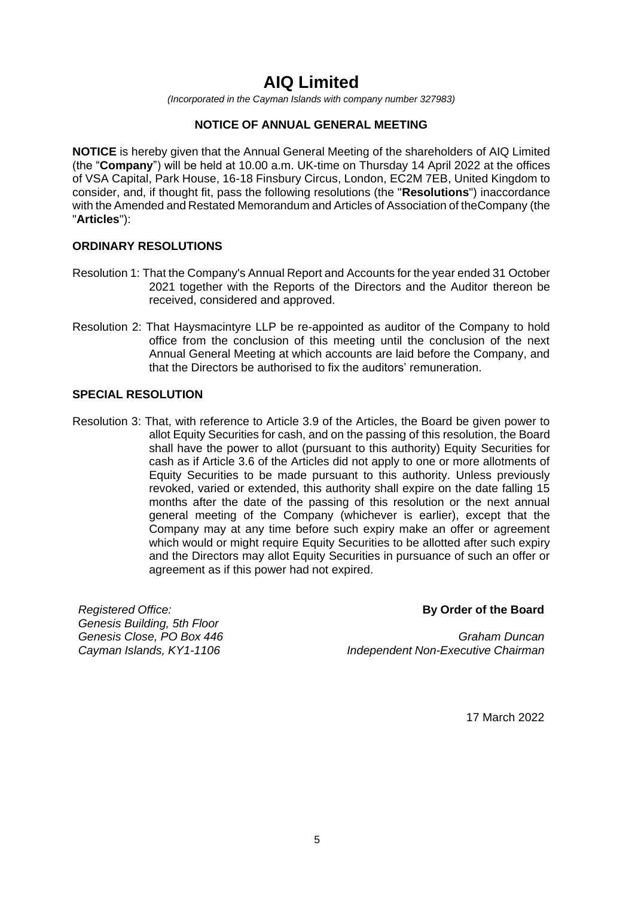## **AIQ Limited**

*(Incorporated in the Cayman Islands with company number 327983)*

#### **NOTICE OF ANNUAL GENERAL MEETING**

**NOTICE** is hereby given that the Annual General Meeting of the shareholders of AIQ Limited (the "**Company**") will be held at 10.00 a.m. UK-time on Thursday 14 April 2022 at the offices of VSA Capital, Park House, 16-18 Finsbury Circus, London, EC2M 7EB, United Kingdom to consider, and, if thought fit, pass the following resolutions (the "**Resolutions**") inaccordance with the Amended and Restated Memorandum and Articles of Association of theCompany (the "**Articles**"):

#### **ORDINARY RESOLUTIONS**

- Resolution 1: That the Company's Annual Report and Accounts for the year ended 31 October 2021 together with the Reports of the Directors and the Auditor thereon be received, considered and approved.
- Resolution 2: That Haysmacintyre LLP be re-appointed as auditor of the Company to hold office from the conclusion of this meeting until the conclusion of the next Annual General Meeting at which accounts are laid before the Company, and that the Directors be authorised to fix the auditors' remuneration.

#### **SPECIAL RESOLUTION**

Resolution 3: That, with reference to Article 3.9 of the Articles, the Board be given power to allot Equity Securities for cash, and on the passing of this resolution, the Board shall have the power to allot (pursuant to this authority) Equity Securities for cash as if Article 3.6 of the Articles did not apply to one or more allotments of Equity Securities to be made pursuant to this authority. Unless previously revoked, varied or extended, this authority shall expire on the date falling 15 months after the date of the passing of this resolution or the next annual general meeting of the Company (whichever is earlier), except that the Company may at any time before such expiry make an offer or agreement which would or might require Equity Securities to be allotted after such expiry and the Directors may allot Equity Securities in pursuance of such an offer or agreement as if this power had not expired.

*Registered Office: Genesis Building, 5th Floor Genesis Close, PO Box 446 Cayman Islands, KY1-1106*

#### **By Order of the Board**

*Graham Duncan Independent Non-Executive Chairman*

17 March 2022